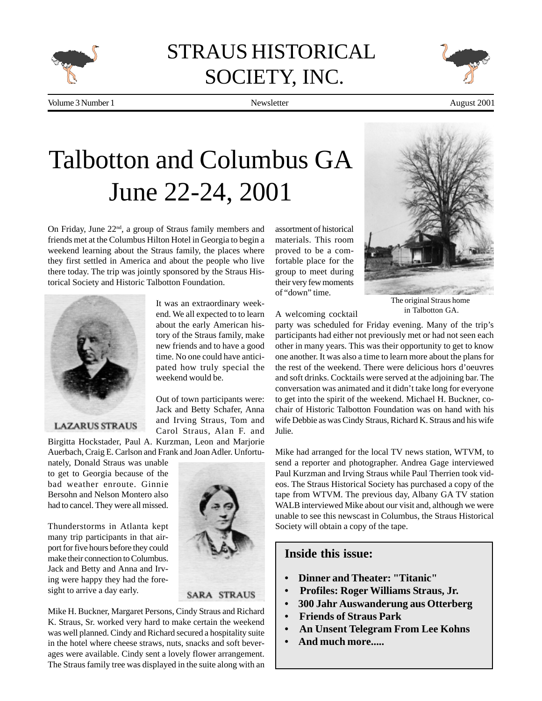

## STRAUS HISTORICAL SOCIETY, INC.



Volume 3 Number 1 **Number 1** August 2001

Newsletter

# Talbotton and Columbus GA June 22-24, 2001

It was an extraordinary weekend. We all expected to to learn about the early American history of the Straus family, make new friends and to have a good time. No one could have anticipated how truly special the

Out of town participants were: Jack and Betty Schafer, Anna and Irving Straus, Tom and Carol Straus, Alan F. and

weekend would be.

On Friday, June 22nd, a group of Straus family members and friends met at the Columbus Hilton Hotel in Georgia to begin a weekend learning about the Straus family, the places where they first settled in America and about the people who live there today. The trip was jointly sponsored by the Straus Historical Society and Historic Talbotton Foundation.



#### **LAZARUS STRAUS**

Birgitta Hockstader, Paul A. Kurzman, Leon and Marjorie Auerbach, Craig E. Carlson and Frank and Joan Adler. Unfortu-

nately, Donald Straus was unable to get to Georgia because of the bad weather enroute. Ginnie Bersohn and Nelson Montero also had to cancel. They were all missed.

Thunderstorms in Atlanta kept many trip participants in that airport for five hours before they could make their connection to Columbus. Jack and Betty and Anna and Irving were happy they had the foresight to arrive a day early.



Mike H. Buckner, Margaret Persons, Cindy Straus and Richard K. Straus, Sr. worked very hard to make certain the weekend was well planned. Cindy and Richard secured a hospitality suite in the hotel where cheese straws, nuts, snacks and soft beverages were available. Cindy sent a lovely flower arrangement. The Straus family tree was displayed in the suite along with an

assortment of historical materials. This room proved to be a comfortable place for the group to meet during their very few moments of "down" time.

A welcoming cocktail



The original Straus home in Talbotton GA.

party was scheduled for Friday evening. Many of the trip's participants had either not previously met or had not seen each other in many years. This was their opportunity to get to know one another. It was also a time to learn more about the plans for the rest of the weekend. There were delicious hors d'oeuvres and soft drinks. Cocktails were served at the adjoining bar. The conversation was animated and it didn't take long for everyone to get into the spirit of the weekend. Michael H. Buckner, cochair of Historic Talbotton Foundation was on hand with his wife Debbie as was Cindy Straus, Richard K. Straus and his wife Julie.

Mike had arranged for the local TV news station, WTVM, to send a reporter and photographer. Andrea Gage interviewed Paul Kurzman and Irving Straus while Paul Therrien took videos. The Straus Historical Society has purchased a copy of the tape from WTVM. The previous day, Albany GA TV station WALB interviewed Mike about our visit and, although we were unable to see this newscast in Columbus, the Straus Historical Society will obtain a copy of the tape.

#### **Inside this issue:**

- **Dinner and Theater: "Titanic"**
- **Profiles: Roger Williams Straus, Jr.**
- **300 Jahr Auswanderung aus Otterberg**
- **Friends of Straus Park**
- **An Unsent Telegram From Lee Kohns**
- **And much more.....**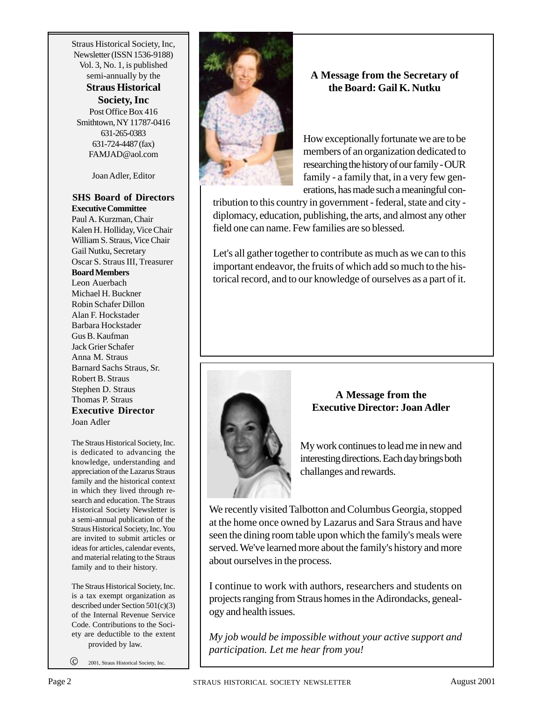Straus Historical Society, Inc, Newsletter (ISSN 1536-9188) Vol. 3, No. 1, is published semi-annually by the

#### **Straus Historical Society, Inc**

Post Office Box 416 Smithtown, NY 11787-0416 631-265-0383 631-724-4487 (fax) FAMJAD@aol.com

Joan Adler, Editor

#### **SHS Board of Directors Executive Committee**

Paul A. Kurzman, Chair Kalen H. Holliday, Vice Chair William S. Straus, Vice Chair Gail Nutku, Secretary Oscar S. Straus III, Treasurer **Board Members** Leon Auerbach Michael H. Buckner Robin Schafer Dillon Alan F. Hockstader Barbara Hockstader Gus B. Kaufman Jack Grier Schafer Anna M. Straus Barnard Sachs Straus, Sr. Robert B. Straus Stephen D. Straus Thomas P. Straus **Executive Director** Joan Adler

The Straus Historical Society, Inc. is dedicated to advancing the knowledge, understanding and appreciation of the Lazarus Straus family and the historical context in which they lived through research and education. The Straus Historical Society Newsletter is a semi-annual publication of the Straus Historical Society, Inc. You are invited to submit articles or ideas for articles, calendar events, and material relating to the Straus family and to their history.

The Straus Historical Society, Inc. is a tax exempt organization as described under Section 501(c)(3) of the Internal Revenue Service Code. Contributions to the Society are deductible to the extent provided by law.

c 2001, Straus Historical Society, Inc.



#### **A Message from the Secretary of the Board: Gail K. Nutku**

How exceptionally fortunate we are to be members of an organization dedicated to researching the history of our family - OUR family - a family that, in a very few generations, has made such a meaningful con-

tribution to this country in government - federal, state and city diplomacy, education, publishing, the arts, and almost any other field one can name. Few families are so blessed.

Let's all gather together to contribute as much as we can to this important endeavor, the fruits of which add so much to the historical record, and to our knowledge of ourselves as a part of it.



#### **A Message from the Executive Director: Joan Adler**

My work continues to lead me in new and interesting directions. Each day brings both challanges and rewards.

We recently visited Talbotton and Columbus Georgia, stopped at the home once owned by Lazarus and Sara Straus and have seen the dining room table upon which the family's meals were served. We've learned more about the family's history and more about ourselves in the process.

I continue to work with authors, researchers and students on projects ranging from Straus homes in the Adirondacks, genealogy and health issues.

*My job would be impossible without your active support and participation. Let me hear from you!*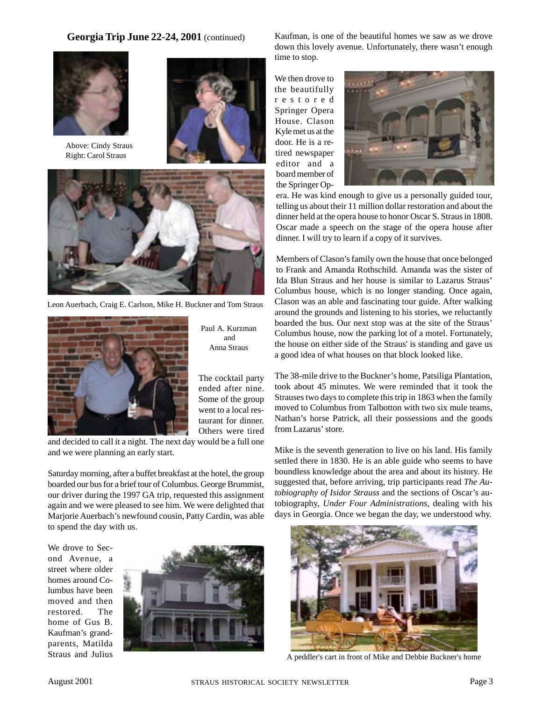**Georgia Trip June 22-24, 2001** (continued)



Above: Cindy Straus Right: Carol Straus





Leon Auerbach, Craig E. Carlson, Mike H. Buckner and Tom Straus



Paul A. Kurzman and Anna Straus

The cocktail party ended after nine. Some of the group went to a local restaurant for dinner. Others were tired

and decided to call it a night. The next day would be a full one and we were planning an early start.

Saturday morning, after a buffet breakfast at the hotel, the group boarded our bus for a brief tour of Columbus. George Brummist, our driver during the 1997 GA trip, requested this assignment again and we were pleased to see him. We were delighted that Marjorie Auerbach's newfound cousin, Patty Cardin, was able to spend the day with us.

We drove to Second Avenue, a street where older homes around Columbus have been moved and then restored. The home of Gus B. Kaufman's grandparents, Matilda Straus and Julius



Kaufman, is one of the beautiful homes we saw as we drove down this lovely avenue. Unfortunately, there wasn't enough time to stop.

We then drove to the beautifully restored Springer Opera House. Clason Kyle met us at the door. He is a retired newspaper editor and a board member of the Springer Op-



era. He was kind enough to give us a personally guided tour, telling us about their 11 million dollar restoration and about the dinner held at the opera house to honor Oscar S. Straus in 1808. Oscar made a speech on the stage of the opera house after dinner. I will try to learn if a copy of it survives.

Members of Clason's family own the house that once belonged to Frank and Amanda Rothschild. Amanda was the sister of Ida Blun Straus and her house is similar to Lazarus Straus' Columbus house, which is no longer standing. Once again, Clason was an able and fascinating tour guide. After walking around the grounds and listening to his stories, we reluctantly boarded the bus. Our next stop was at the site of the Straus' Columbus house, now the parking lot of a motel. Fortunately, the house on either side of the Straus' is standing and gave us a good idea of what houses on that block looked like.

The 38-mile drive to the Buckner's home, Patsiliga Plantation, took about 45 minutes. We were reminded that it took the Strauses two days to complete this trip in 1863 when the family moved to Columbus from Talbotton with two six mule teams, Nathan's horse Patrick, all their possessions and the goods from Lazarus' store.

Mike is the seventh generation to live on his land. His family settled there in 1830. He is an able guide who seems to have boundless knowledge about the area and about its history. He suggested that, before arriving, trip participants read *The Autobiography of Isidor Strauss* and the sections of Oscar's autobiography, *Under Four Administrations*, dealing with his days in Georgia. Once we began the day, we understood why.



A peddler's cart in front of Mike and Debbie Buckner's home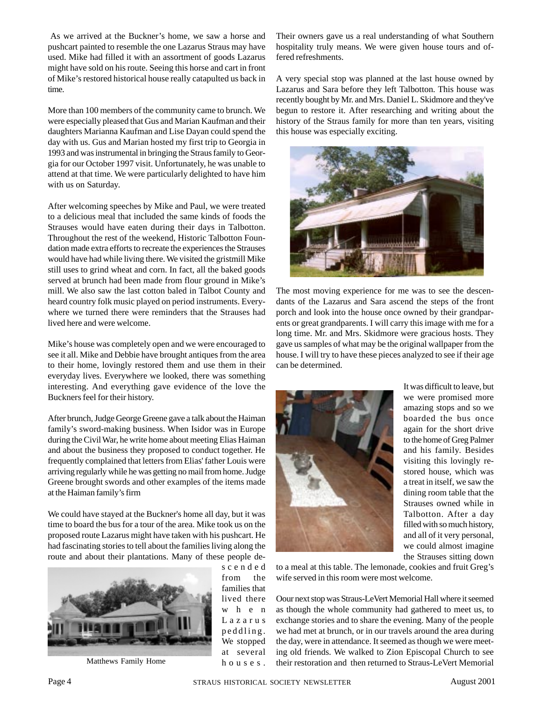As we arrived at the Buckner's home, we saw a horse and pushcart painted to resemble the one Lazarus Straus may have used. Mike had filled it with an assortment of goods Lazarus might have sold on his route. Seeing this horse and cart in front of Mike's restored historical house really catapulted us back in time.

More than 100 members of the community came to brunch. We were especially pleased that Gus and Marian Kaufman and their daughters Marianna Kaufman and Lise Dayan could spend the day with us. Gus and Marian hosted my first trip to Georgia in 1993 and was instrumental in bringing the Straus family to Georgia for our October 1997 visit. Unfortunately, he was unable to attend at that time. We were particularly delighted to have him with us on Saturday.

After welcoming speeches by Mike and Paul, we were treated to a delicious meal that included the same kinds of foods the Strauses would have eaten during their days in Talbotton. Throughout the rest of the weekend, Historic Talbotton Foundation made extra efforts to recreate the experiences the Strauses would have had while living there. We visited the gristmill Mike still uses to grind wheat and corn. In fact, all the baked goods served at brunch had been made from flour ground in Mike's mill. We also saw the last cotton baled in Talbot County and heard country folk music played on period instruments. Everywhere we turned there were reminders that the Strauses had lived here and were welcome.

Mike's house was completely open and we were encouraged to see it all. Mike and Debbie have brought antiques from the area to their home, lovingly restored them and use them in their everyday lives. Everywhere we looked, there was something interesting. And everything gave evidence of the love the Buckners feel for their history.

After brunch, Judge George Greene gave a talk about the Haiman family's sword-making business. When Isidor was in Europe during the Civil War, he write home about meeting Elias Haiman and about the business they proposed to conduct together. He frequently complained that letters from Elias' father Louis were arriving regularly while he was getting no mail from home. Judge Greene brought swords and other examples of the items made at the Haiman family's firm

We could have stayed at the Buckner's home all day, but it was time to board the bus for a tour of the area. Mike took us on the proposed route Lazarus might have taken with his pushcart. He had fascinating stories to tell about the families living along the route and about their plantations. Many of these people de-



scended from the families that lived there when Lazarus peddling. We stopped at several houses.

Their owners gave us a real understanding of what Southern hospitality truly means. We were given house tours and offered refreshments.

A very special stop was planned at the last house owned by Lazarus and Sara before they left Talbotton. This house was recently bought by Mr. and Mrs. Daniel L. Skidmore and they've begun to restore it. After researching and writing about the history of the Straus family for more than ten years, visiting this house was especially exciting.



The most moving experience for me was to see the descendants of the Lazarus and Sara ascend the steps of the front porch and look into the house once owned by their grandparents or great grandparents. I will carry this image with me for a long time. Mr. and Mrs. Skidmore were gracious hosts. They gave us samples of what may be the original wallpaper from the house. I will try to have these pieces analyzed to see if their age can be determined.



It was difficult to leave, but we were promised more amazing stops and so we boarded the bus once again for the short drive to the home of Greg Palmer and his family. Besides visiting this lovingly restored house, which was a treat in itself, we saw the dining room table that the Strauses owned while in Talbotton. After a day filled with so much history, and all of it very personal, we could almost imagine the Strauses sitting down

to a meal at this table. The lemonade, cookies and fruit Greg's wife served in this room were most welcome.

Oour next stop was Straus-LeVert Memorial Hall where it seemed as though the whole community had gathered to meet us, to exchange stories and to share the evening. Many of the people we had met at brunch, or in our travels around the area during the day, were in attendance. It seemed as though we were meeting old friends. We walked to Zion Episcopal Church to see Matthews Family Home houses. their restoration and then returned to Straus-LeVert Memorial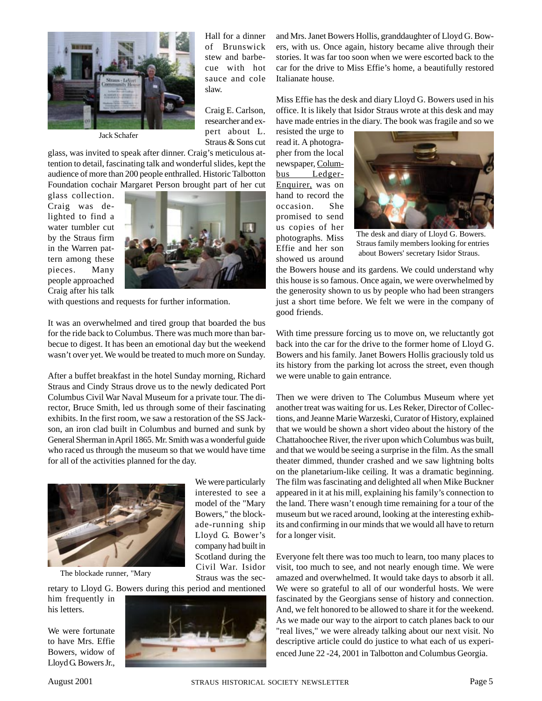

Jack Schafer

Hall for a dinner of Brunswick stew and barbecue with hot sauce and cole slaw.

Craig E. Carlson, researcher and expert about L. Straus & Sons cut

glass, was invited to speak after dinner. Craig's meticulous attention to detail, fascinating talk and wonderful slides, kept the audience of more than 200 people enthralled. Historic Talbotton Foundation cochair Margaret Person brought part of her cut

glass collection. Craig was delighted to find a water tumbler cut by the Straus firm in the Warren pattern among these pieces. Many people approached Craig after his talk



with questions and requests for further information.

It was an overwhelmed and tired group that boarded the bus for the ride back to Columbus. There was much more than barbecue to digest. It has been an emotional day but the weekend wasn't over yet. We would be treated to much more on Sunday.

After a buffet breakfast in the hotel Sunday morning, Richard Straus and Cindy Straus drove us to the newly dedicated Port Columbus Civil War Naval Museum for a private tour. The director, Bruce Smith, led us through some of their fascinating exhibits. In the first room, we saw a restoration of the SS Jackson, an iron clad built in Columbus and burned and sunk by General Sherman in April 1865. Mr. Smith was a wonderful guide who raced us through the museum so that we would have time for all of the activities planned for the day.



The blockade runner, "Mary

We were particularly interested to see a model of the "Mary Bowers," the blockade-running ship Lloyd G. Bower's company had built in Scotland during the Civil War. Isidor Straus was the sec-

retary to Lloyd G. Bowers during this period and mentioned

him frequently in his letters.

We were fortunate to have Mrs. Effie Bowers, widow of Lloyd G. Bowers Jr.,



and Mrs. Janet Bowers Hollis, granddaughter of Lloyd G. Bowers, with us. Once again, history became alive through their stories. It was far too soon when we were escorted back to the car for the drive to Miss Effie's home, a beautifully restored Italianate house.

Miss Effie has the desk and diary Lloyd G. Bowers used in his office. It is likely that Isidor Straus wrote at this desk and may have made entries in the diary. The book was fragile and so we

resisted the urge to read it. A photographer from the local newspaper, Columbus Ledger-Enquirer, was on hand to record the occasion. She promised to send us copies of her photographs. Miss Effie and her son showed us around



The desk and diary of Lloyd G. Bowers. Straus family members looking for entries about Bowers' secretary Isidor Straus.

the Bowers house and its gardens. We could understand why this house is so famous. Once again, we were overwhelmed by the generosity shown to us by people who had been strangers just a short time before. We felt we were in the company of good friends.

With time pressure forcing us to move on, we reluctantly got back into the car for the drive to the former home of Lloyd G. Bowers and his family. Janet Bowers Hollis graciously told us its history from the parking lot across the street, even though we were unable to gain entrance.

Then we were driven to The Columbus Museum where yet another treat was waiting for us. Les Reker, Director of Collections, and Jeanne Marie Warzeski, Curator of History, explained that we would be shown a short video about the history of the Chattahoochee River, the river upon which Columbus was built, and that we would be seeing a surprise in the film. As the small theater dimmed, thunder crashed and we saw lightning bolts on the planetarium-like ceiling. It was a dramatic beginning. The film was fascinating and delighted all when Mike Buckner appeared in it at his mill, explaining his family's connection to the land. There wasn't enough time remaining for a tour of the museum but we raced around, looking at the interesting exhibits and confirming in our minds that we would all have to return for a longer visit.

Everyone felt there was too much to learn, too many places to visit, too much to see, and not nearly enough time. We were amazed and overwhelmed. It would take days to absorb it all. We were so grateful to all of our wonderful hosts. We were fascinated by the Georgians sense of history and connection. And, we felt honored to be allowed to share it for the weekend. As we made our way to the airport to catch planes back to our "real lives," we were already talking about our next visit. No descriptive article could do justice to what each of us experienced June 22 -24, 2001 in Talbotton and Columbus Georgia.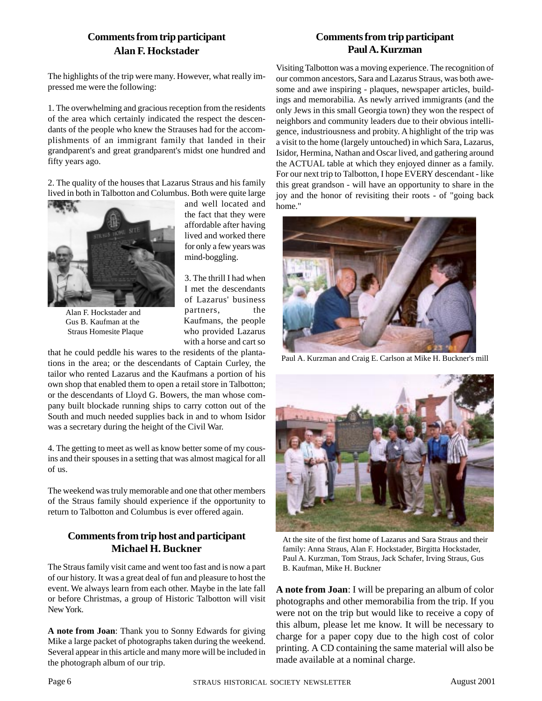#### **Comments from trip participant Alan F. Hockstader**

The highlights of the trip were many. However, what really impressed me were the following:

1. The overwhelming and gracious reception from the residents of the area which certainly indicated the respect the descendants of the people who knew the Strauses had for the accomplishments of an immigrant family that landed in their grandparent's and great grandparent's midst one hundred and fifty years ago.

2. The quality of the houses that Lazarus Straus and his family lived in both in Talbotton and Columbus. Both were quite large



Alan F. Hockstader and Gus B. Kaufman at the Straus Homesite Plaque

and well located and the fact that they were affordable after having lived and worked there for only a few years was mind-boggling.

3. The thrill I had when I met the descendants of Lazarus' business partners, the Kaufmans, the people who provided Lazarus with a horse and cart so

that he could peddle his wares to the residents of the plantations in the area; or the descendants of Captain Curley, the tailor who rented Lazarus and the Kaufmans a portion of his own shop that enabled them to open a retail store in Talbotton; or the descendants of Lloyd G. Bowers, the man whose company built blockade running ships to carry cotton out of the South and much needed supplies back in and to whom Isidor was a secretary during the height of the Civil War.

4. The getting to meet as well as know better some of my cousins and their spouses in a setting that was almost magical for all of us.

The weekend was truly memorable and one that other members of the Straus family should experience if the opportunity to return to Talbotton and Columbus is ever offered again.

#### **Comments from trip host and participant Michael H. Buckner**

The Straus family visit came and went too fast and is now a part of our history. It was a great deal of fun and pleasure to host the event. We always learn from each other. Maybe in the late fall or before Christmas, a group of Historic Talbotton will visit New York.

**A note from Joan**: Thank you to Sonny Edwards for giving Mike a large packet of photographs taken during the weekend. Several appear in this article and many more will be included in the photograph album of our trip.

#### **Comments from trip participant Paul A. Kurzman**

Visiting Talbotton was a moving experience. The recognition of our common ancestors, Sara and Lazarus Straus, was both awesome and awe inspiring - plaques, newspaper articles, buildings and memorabilia. As newly arrived immigrants (and the only Jews in this small Georgia town) they won the respect of neighbors and community leaders due to their obvious intelligence, industriousness and probity. A highlight of the trip was a visit to the home (largely untouched) in which Sara, Lazarus, Isidor, Hermina, Nathan and Oscar lived, and gathering around the ACTUAL table at which they enjoyed dinner as a family. For our next trip to Talbotton, I hope EVERY descendant - like this great grandson - will have an opportunity to share in the joy and the honor of revisiting their roots - of "going back home."



Paul A. Kurzman and Craig E. Carlson at Mike H. Buckner's mill



At the site of the first home of Lazarus and Sara Straus and their family: Anna Straus, Alan F. Hockstader, Birgitta Hockstader, Paul A. Kurzman, Tom Straus, Jack Schafer, Irving Straus, Gus B. Kaufman, Mike H. Buckner

**A note from Joan**: I will be preparing an album of color photographs and other memorabilia from the trip. If you were not on the trip but would like to receive a copy of this album, please let me know. It will be necessary to charge for a paper copy due to the high cost of color printing. A CD containing the same material will also be made available at a nominal charge.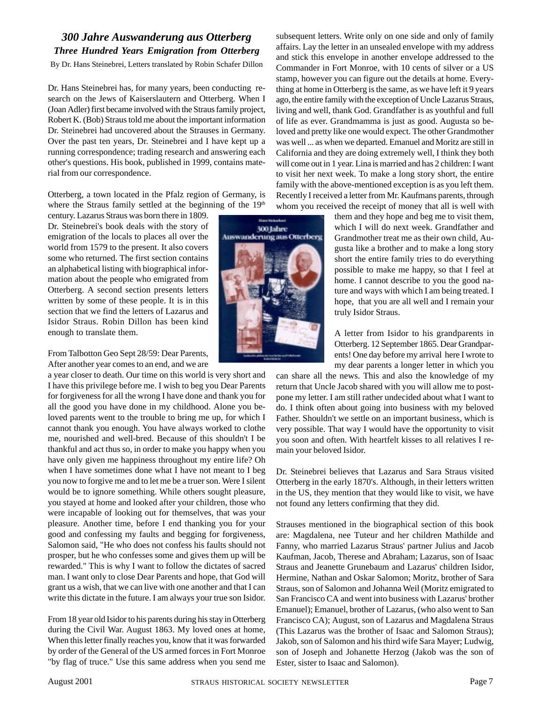#### *300 Jahre Auswanderung aus Otterberg Three Hundred Years Emigration from Otterberg*

By Dr. Hans Steinebrei, Letters translated by Robin Schafer Dillon

Dr. Hans Steinebrei has, for many years, been conducting research on the Jews of Kaiserslautern and Otterberg. When I (Joan Adler) first became involved with the Straus family project, Robert K. (Bob) Straus told me about the important information Dr. Steinebrei had uncovered about the Strauses in Germany. Over the past ten years, Dr. Steinebrei and I have kept up a running correspondence; trading research and answering each other's questions. His book, published in 1999, contains material from our correspondence.

Otterberg, a town located in the Pfalz region of Germany, is where the Straus family settled at the beginning of the  $19<sup>th</sup>$ 

century. Lazarus Straus was born there in 1809. Dr. Steinebrei's book deals with the story of emigration of the locals to places all over the world from 1579 to the present. It also covers some who returned. The first section contains an alphabetical listing with biographical information about the people who emigrated from Otterberg. A second section presents letters written by some of these people. It is in this section that we find the letters of Lazarus and Isidor Straus. Robin Dillon has been kind enough to translate them.

From Talbotton Geo Sept 28/59: Dear Parents, After another year comes to an end, and we are

a year closer to death. Our time on this world is very short and I have this privilege before me. I wish to beg you Dear Parents for forgiveness for all the wrong I have done and thank you for all the good you have done in my childhood. Alone you beloved parents went to the trouble to bring me up, for which I cannot thank you enough. You have always worked to clothe me, nourished and well-bred. Because of this shouldn't I be thankful and act thus so, in order to make you happy when you have only given me happiness throughout my entire life? Oh when I have sometimes done what I have not meant to I beg you now to forgive me and to let me be a truer son. Were I silent would be to ignore something. While others sought pleasure, you stayed at home and looked after your children, those who were incapable of looking out for themselves, that was your pleasure. Another time, before I end thanking you for your good and confessing my faults and begging for forgiveness, Salomon said, "He who does not confess his faults should not prosper, but he who confesses some and gives them up will be rewarded." This is why I want to follow the dictates of sacred man. I want only to close Dear Parents and hope, that God will grant us a wish, that we can live with one another and that I can write this dictate in the future. I am always your true son Isidor.

From 18 year old Isidor to his parents during his stay in Otterberg during the Civil War. August 1863. My loved ones at home, When this letter finally reaches you, know that it was forwarded by order of the General of the US armed forces in Fort Monroe "by flag of truce." Use this same address when you send me



subsequent letters. Write only on one side and only of family affairs. Lay the letter in an unsealed envelope with my address and stick this envelope in another envelope addressed to the Commander in Fort Monroe, with 10 cents of silver or a US stamp, however you can figure out the details at home. Everything at home in Otterberg is the same, as we have left it 9 years ago, the entire family with the exception of Uncle Lazarus Straus, living and well, thank God. Grandfather is as youthful and full of life as ever. Grandmamma is just as good. Augusta so beloved and pretty like one would expect. The other Grandmother was well ... as when we departed. Emanuel and Moritz are still in California and they are doing extremely well, I think they both will come out in 1 year. Lina is married and has 2 children: I want to visit her next week. To make a long story short, the entire family with the above-mentioned exception is as you left them. Recently I received a letter from Mr. Kaufmans parents, through whom you received the receipt of money that all is well with

them and they hope and beg me to visit them, which I will do next week. Grandfather and Grandmother treat me as their own child, Augusta like a brother and to make a long story short the entire family tries to do everything possible to make me happy, so that I feel at home. I cannot describe to you the good nature and ways with which I am being treated. I hope, that you are all well and I remain your truly Isidor Straus.

A letter from Isidor to his grandparents in Otterberg. 12 September 1865. Dear Grandparents! One day before my arrival here I wrote to my dear parents a longer letter in which you

can share all the news. This and also the knowledge of my return that Uncle Jacob shared with you will allow me to postpone my letter. I am still rather undecided about what I want to do. I think often about going into business with my beloved Father. Shouldn't we settle on an important business, which is very possible. That way I would have the opportunity to visit you soon and often. With heartfelt kisses to all relatives I remain your beloved Isidor.

Dr. Steinebrei believes that Lazarus and Sara Straus visited Otterberg in the early 1870's. Although, in their letters written in the US, they mention that they would like to visit, we have not found any letters confirming that they did.

Strauses mentioned in the biographical section of this book are: Magdalena, nee Tuteur and her children Mathilde and Fanny, who married Lazarus Straus' partner Julius and Jacob Kaufman, Jacob, Therese and Abraham; Lazarus, son of Isaac Straus and Jeanette Grunebaum and Lazarus' children Isidor, Hermine, Nathan and Oskar Salomon; Moritz, brother of Sara Straus, son of Salomon and Johanna Weil (Moritz emigrated to San Francisco CA and went into business with Lazarus' brother Emanuel); Emanuel, brother of Lazarus, (who also went to San Francisco CA); August, son of Lazarus and Magdalena Straus (This Lazarus was the brother of Isaac and Salomon Straus); Jakob, son of Salomon and his third wife Sara Mayer; Ludwig, son of Joseph and Johanette Herzog (Jakob was the son of Ester, sister to Isaac and Salomon).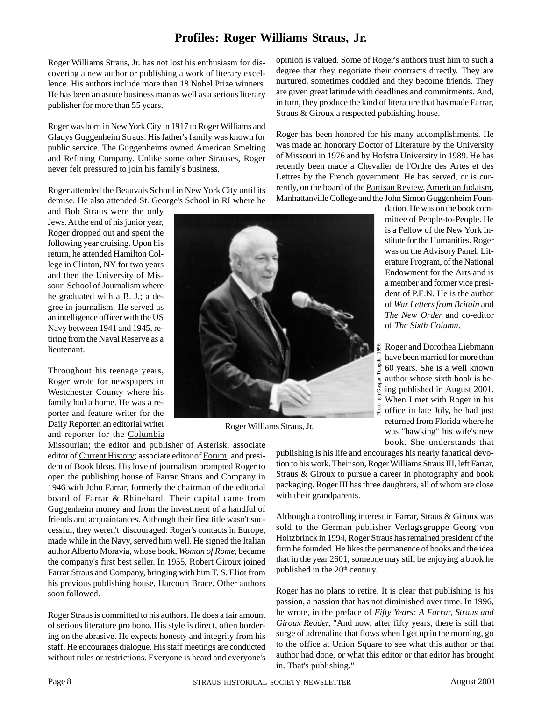#### **Profiles: Roger Williams Straus, Jr.**

Roger Williams Straus, Jr. has not lost his enthusiasm for discovering a new author or publishing a work of literary excellence. His authors include more than 18 Nobel Prize winners. He has been an astute business man as well as a serious literary publisher for more than 55 years.

Roger was born in New York City in 1917 to Roger Williams and Gladys Guggenheim Straus. His father's family was known for public service. The Guggenheims owned American Smelting and Refining Company. Unlike some other Strauses, Roger never felt pressured to join his family's business.

Roger attended the Beauvais School in New York City until its demise. He also attended St. George's School in RI where he

and Bob Straus were the only Jews. At the end of his junior year, Roger dropped out and spent the following year cruising. Upon his return, he attended Hamilton College in Clinton, NY for two years and then the University of Missouri School of Journalism where he graduated with a B. J.; a degree in journalism. He served as an intelligence officer with the US Navy between 1941 and 1945, retiring from the Naval Reserve as a lieutenant.

Throughout his teenage years, Roger wrote for newspapers in Westchester County where his family had a home. He was a reporter and feature writer for the Daily Reporter, an editorial writer and reporter for the Columbia

Missourian; the editor and publisher of Asterisk; associate editor of Current History; associate editor of Forum; and president of Book Ideas. His love of journalism prompted Roger to open the publishing house of Farrar Straus and Company in 1946 with John Farrar, formerly the chairman of the editorial board of Farrar & Rhinehard. Their capital came from Guggenheim money and from the investment of a handful of friends and acquaintances. Although their first title wasn't successful, they weren't discouraged. Roger's contacts in Europe, made while in the Navy, served him well. He signed the Italian author Alberto Moravia, whose book, *Woman of Rome*, became the company's first best seller. In 1955, Robert Giroux joined Farrar Straus and Company, bringing with him T. S. Eliot from his previous publishing house, Harcourt Brace. Other authors soon followed.

Roger Straus is committed to his authors. He does a fair amount of serious literature pro bono. His style is direct, often bordering on the abrasive. He expects honesty and integrity from his staff. He encourages dialogue. His staff meetings are conducted without rules or restrictions. Everyone is heard and everyone's

opinion is valued. Some of Roger's authors trust him to such a degree that they negotiate their contracts directly. They are nurtured, sometimes coddled and they become friends. They are given great latitude with deadlines and commitments. And, in turn, they produce the kind of literature that has made Farrar, Straus & Giroux a respected publishing house.

Roger has been honored for his many accomplishments. He was made an honorary Doctor of Literature by the University of Missouri in 1976 and by Hofstra University in 1989. He has recently been made a Chevalier de l'Ordre des Artes et des Lettres by the French government. He has served, or is currently, on the board of the Partisan Review, American Judaism, Manhattanville College and the John Simon Guggenheim Foun-

> dation. He was on the book committee of People-to-People. He is a Fellow of the New York Institute for the Humanities. Roger was on the Advisory Panel, Literature Program, of the National Endowment for the Arts and is a member and former vice president of P.E.N. He is the author of *War Letters from Britain* and *The New Order* and co-editor of *The Sixth Column*.

Roger and Dorothea Liebmann have been married for more than 60 years. She is a well known author whose sixth book is being published in August 2001. When I met with Roger in his office in late July, he had just returned from Florida where he was "hawking" his wife's new book. She understands that



Roger Williams Straus, Jr.

publishing is his life and encourages his nearly fanatical devotion to his work. Their son, Roger Williams Straus III, left Farrar, Straus & Giroux to pursue a career in photography and book packaging. Roger III has three daughters, all of whom are close with their grandparents.

Although a controlling interest in Farrar, Straus & Giroux was sold to the German publisher Verlagsgruppe Georg von Holtzbrinck in 1994, Roger Straus has remained president of the firm he founded. He likes the permanence of books and the idea that in the year 2601, someone may still be enjoying a book he published in the 20<sup>th</sup> century.

Roger has no plans to retire. It is clear that publishing is his passion, a passion that has not diminished over time. In 1996, he wrote, in the preface of *Fifty Years: A Farrar, Straus and Giroux Reader,* "And now, after fifty years, there is still that surge of adrenaline that flows when I get up in the morning, go to the office at Union Square to see what this author or that author had done, or what this editor or that editor has brought in. That's publishing."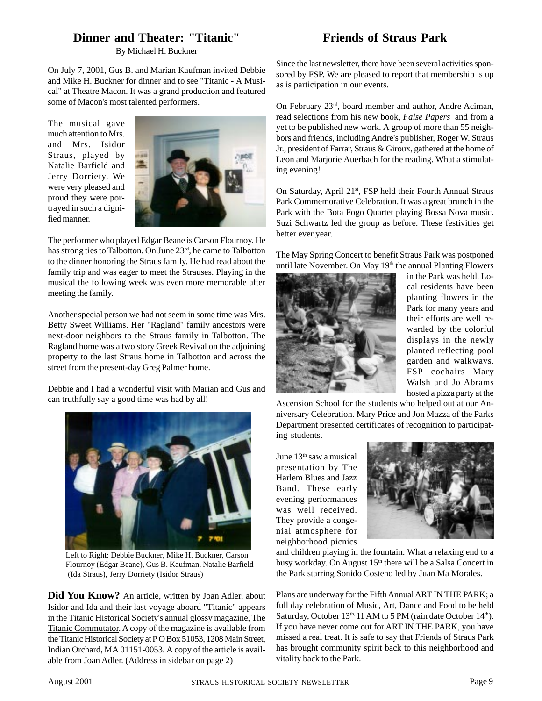#### **Dinner and Theater: "Titanic"**

By Michael H. Buckner

On July 7, 2001, Gus B. and Marian Kaufman invited Debbie and Mike H. Buckner for dinner and to see "Titanic - A Musical" at Theatre Macon. It was a grand production and featured some of Macon's most talented performers.

The musical gave much attention to Mrs. and Mrs. Isidor Straus, played by Natalie Barfield and Jerry Dorriety. We were very pleased and proud they were portrayed in such a dignified manner.



The performer who played Edgar Beane is Carson Flournoy. He has strong ties to Talbotton. On June 23rd, he came to Talbotton to the dinner honoring the Straus family. He had read about the family trip and was eager to meet the Strauses. Playing in the musical the following week was even more memorable after meeting the family.

Another special person we had not seem in some time was Mrs. Betty Sweet Williams. Her "Ragland" family ancestors were next-door neighbors to the Straus family in Talbotton. The Ragland home was a two story Greek Revival on the adjoining property to the last Straus home in Talbotton and across the street from the present-day Greg Palmer home.

Debbie and I had a wonderful visit with Marian and Gus and can truthfully say a good time was had by all!



Left to Right: Debbie Buckner, Mike H. Buckner, Carson Flournoy (Edgar Beane), Gus B. Kaufman, Natalie Barfield (Ida Straus), Jerry Dorriety (Isidor Straus)

**Did You Know?** An article, written by Joan Adler, about Isidor and Ida and their last voyage aboard "Titanic" appears in the Titanic Historical Society's annual glossy magazine, The Titanic Commutator. A copy of the magazine is available from the Titanic Historical Society at P O Box 51053, 1208 Main Street, Indian Orchard, MA 01151-0053. A copy of the article is available from Joan Adler. (Address in sidebar on page 2)

### **Friends of Straus Park**

Since the last newsletter, there have been several activities sponsored by FSP. We are pleased to report that membership is up as is participation in our events.

On February 23rd, board member and author, Andre Aciman, read selections from his new book, *False Papers* and from a yet to be published new work. A group of more than 55 neighbors and friends, including Andre's publisher, Roger W. Straus Jr., president of Farrar, Straus & Giroux, gathered at the home of Leon and Marjorie Auerbach for the reading. What a stimulating evening!

On Saturday, April 21st, FSP held their Fourth Annual Straus Park Commemorative Celebration. It was a great brunch in the Park with the Bota Fogo Quartet playing Bossa Nova music. Suzi Schwartz led the group as before. These festivities get better ever year.

The May Spring Concert to benefit Straus Park was postponed until late November. On May 19<sup>th</sup> the annual Planting Flowers



in the Park was held. Local residents have been planting flowers in the Park for many years and their efforts are well rewarded by the colorful displays in the newly planted reflecting pool garden and walkways. FSP cochairs Mary Walsh and Jo Abrams hosted a pizza party at the

Ascension School for the students who helped out at our Anniversary Celebration. Mary Price and Jon Mazza of the Parks Department presented certificates of recognition to participating students.

June 13<sup>th</sup> saw a musical presentation by The Harlem Blues and Jazz Band. These early evening performances was well received. They provide a congenial atmosphere for neighborhood picnics



and children playing in the fountain. What a relaxing end to a busy workday. On August 15<sup>th</sup> there will be a Salsa Concert in the Park starring Sonido Costeno led by Juan Ma Morales.

Plans are underway for the Fifth Annual ART IN THE PARK; a full day celebration of Music, Art, Dance and Food to be held Saturday, October 13<sup>th, 11</sup> AM to 5 PM (rain date October 14<sup>th</sup>). If you have never come out for ART IN THE PARK, you have missed a real treat. It is safe to say that Friends of Straus Park has brought community spirit back to this neighborhood and vitality back to the Park.